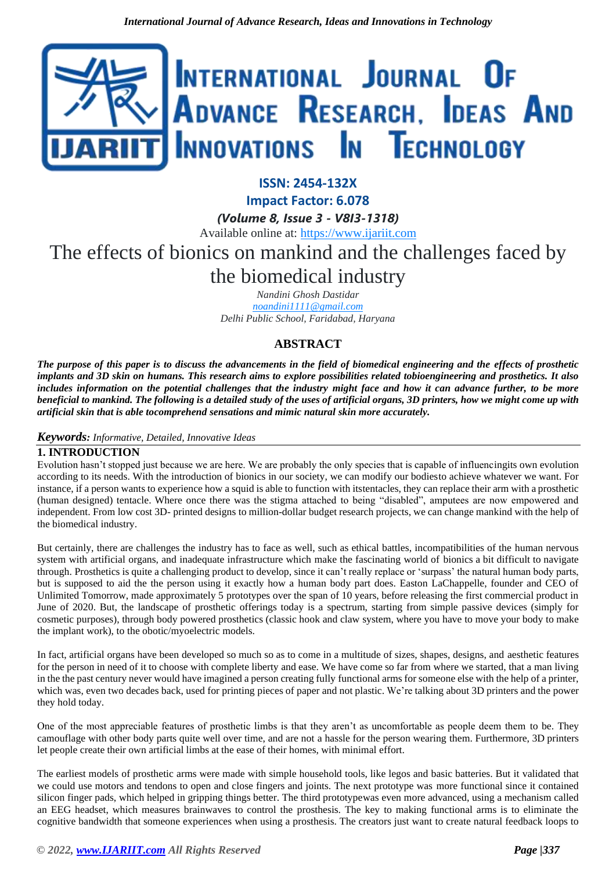

## **ISSN: 2454-132X**

**Impact Factor: 6.078**

*(Volume 8, Issue 3 - V8I3-1318)*

Available online at: [https://www.ijariit.com](https://www.ijariit.com/?utm_source=pdf&utm_medium=edition&utm_campaign=OmAkSols&utm_term=V8I3-1318)

# The effects of bionics on mankind and the challenges faced by the biomedical industry

*Nandini Ghosh Dastidar [noandini1111@gmail.com](mailto:noandini1111@gmail.com) Delhi Public School, Faridabad, Haryana*

### **ABSTRACT**

*The purpose of this paper is to discuss the advancements in the field of biomedical engineering and the effects of prosthetic implants and 3D skin on humans. This research aims to explore possibilities related tobioengineering and prosthetics. It also includes information on the potential challenges that the industry might face and how it can advance further, to be more beneficial to mankind. The following is a detailed study of the uses of artificial organs, 3D printers, how we might come up with artificial skin that is able tocomprehend sensations and mimic natural skin more accurately.*

#### *Keywords: Informative, Detailed, Innovative Ideas*

#### **1. INTRODUCTION**

Evolution hasn't stopped just because we are here. We are probably the only species that is capable of influencingits own evolution according to its needs. With the introduction of bionics in our society, we can modify our bodiesto achieve whatever we want. For instance, if a person wants to experience how a squid is able to function with itstentacles, they can replace their arm with a prosthetic (human designed) tentacle. Where once there was the stigma attached to being "disabled", amputees are now empowered and independent. From low cost 3D- printed designs to million-dollar budget research projects, we can change mankind with the help of the biomedical industry.

But certainly, there are challenges the industry has to face as well, such as ethical battles, incompatibilities of the human nervous system with artificial organs, and inadequate infrastructure which make the fascinating world of bionics a bit difficult to navigate through. Prosthetics is quite a challenging product to develop, since it can't really replace or 'surpass' the natural human body parts, but is supposed to aid the the person using it exactly how a human body part does. Easton LaChappelle, founder and CEO of Unlimited Tomorrow, made approximately 5 prototypes over the span of 10 years, before releasing the first commercial product in June of 2020. But, the landscape of prosthetic offerings today is a spectrum, starting from simple passive devices (simply for cosmetic purposes), through body powered prosthetics (classic hook and claw system, where you have to move your body to make the implant work), to the obotic/myoelectric models.

In fact, artificial organs have been developed so much so as to come in a multitude of sizes, shapes, designs, and aesthetic features for the person in need of it to choose with complete liberty and ease. We have come so far from where we started, that a man living in the the past century never would have imagined a person creating fully functional arms for someone else with the help of a printer, which was, even two decades back, used for printing pieces of paper and not plastic. We're talking about 3D printers and the power they hold today.

One of the most appreciable features of prosthetic limbs is that they aren't as uncomfortable as people deem them to be. They camouflage with other body parts quite well over time, and are not a hassle for the person wearing them. Furthermore, 3D printers let people create their own artificial limbs at the ease of their homes, with minimal effort.

The earliest models of prosthetic arms were made with simple household tools, like legos and basic batteries. But it validated that we could use motors and tendons to open and close fingers and joints. The next prototype was more functional since it contained silicon finger pads, which helped in gripping things better. The third prototypewas even more advanced, using a mechanism called an EEG headset, which measures brainwaves to control the prosthesis. The key to making functional arms is to eliminate the cognitive bandwidth that someone experiences when using a prosthesis. The creators just want to create natural feedback loops to